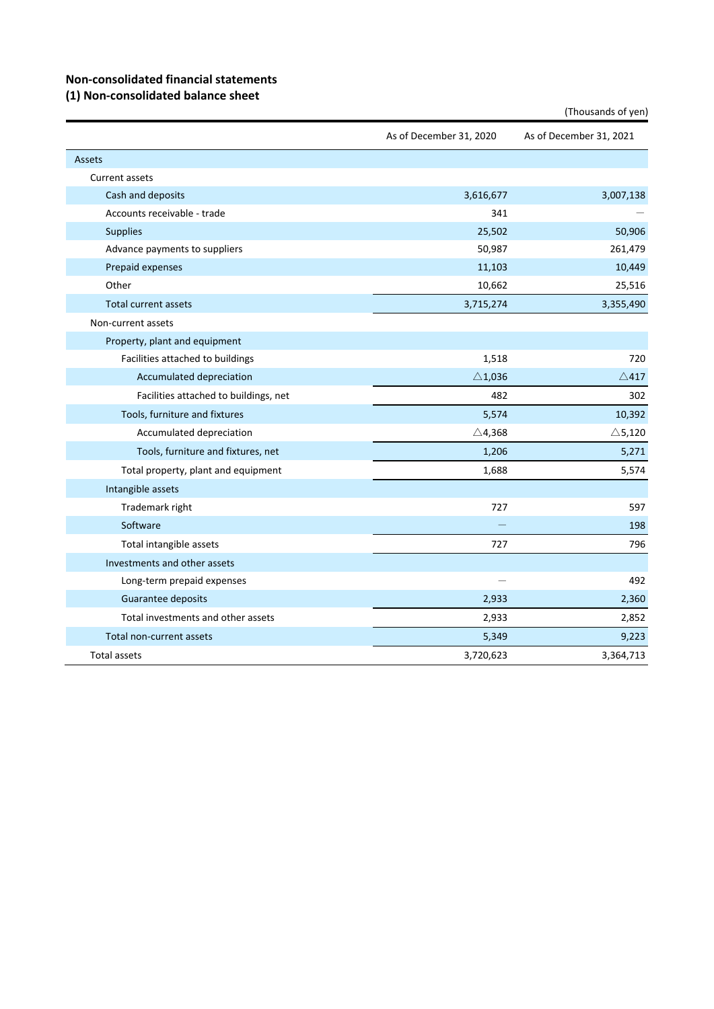## **Non‐consolidated financial statements**

#### **(1) Non‐consolidated balance sheet**

|                                       | As of December 31, 2020 | As of December 31, 2021 |
|---------------------------------------|-------------------------|-------------------------|
| Assets                                |                         |                         |
| Current assets                        |                         |                         |
| Cash and deposits                     | 3,616,677               | 3,007,138               |
| Accounts receivable - trade           | 341                     |                         |
| <b>Supplies</b>                       | 25,502                  | 50,906                  |
| Advance payments to suppliers         | 50,987                  | 261,479                 |
| Prepaid expenses                      | 11,103                  | 10,449                  |
| Other                                 | 10,662                  | 25,516                  |
| <b>Total current assets</b>           | 3,715,274               | 3,355,490               |
| Non-current assets                    |                         |                         |
| Property, plant and equipment         |                         |                         |
| Facilities attached to buildings      | 1,518                   | 720                     |
| Accumulated depreciation              | $\triangle$ 1,036       | $\triangle$ 417         |
| Facilities attached to buildings, net | 482                     | 302                     |
| Tools, furniture and fixtures         | 5,574                   | 10,392                  |
| Accumulated depreciation              | $\triangle$ 4,368       | $\triangle$ 5,120       |
| Tools, furniture and fixtures, net    | 1,206                   | 5,271                   |
| Total property, plant and equipment   | 1,688                   | 5,574                   |
| Intangible assets                     |                         |                         |
| Trademark right                       | 727                     | 597                     |
| Software                              |                         | 198                     |
| Total intangible assets               | 727                     | 796                     |
| Investments and other assets          |                         |                         |
| Long-term prepaid expenses            |                         | 492                     |
| Guarantee deposits                    | 2,933                   | 2,360                   |
| Total investments and other assets    | 2,933                   | 2,852                   |
| Total non-current assets              | 5,349                   | 9,223                   |
| <b>Total assets</b>                   | 3,720,623               | 3,364,713               |

(Thousands of yen)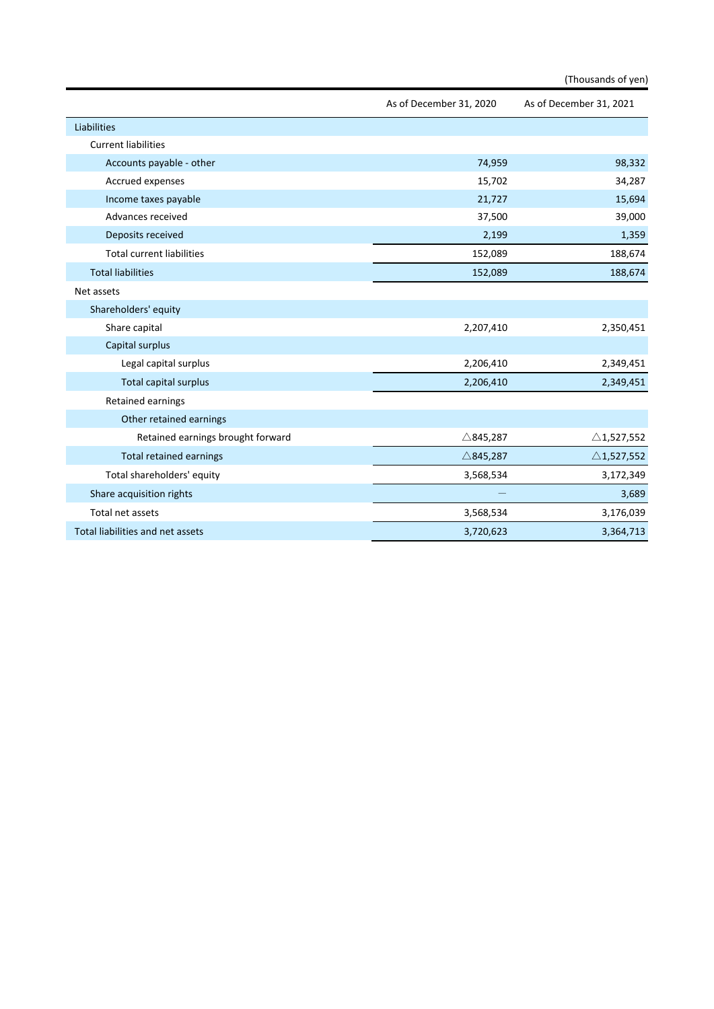|                                   |                         | (Thousands of yen)      |
|-----------------------------------|-------------------------|-------------------------|
|                                   | As of December 31, 2020 | As of December 31, 2021 |
| Liabilities                       |                         |                         |
| <b>Current liabilities</b>        |                         |                         |
| Accounts payable - other          | 74,959                  | 98,332                  |
| Accrued expenses                  | 15,702                  | 34,287                  |
| Income taxes payable              | 21,727                  | 15,694                  |
| Advances received                 | 37,500                  | 39,000                  |
| Deposits received                 | 2,199                   | 1,359                   |
| <b>Total current liabilities</b>  | 152,089                 | 188,674                 |
| <b>Total liabilities</b>          | 152,089                 | 188,674                 |
| Net assets                        |                         |                         |
| Shareholders' equity              |                         |                         |
| Share capital                     | 2,207,410               | 2,350,451               |
| Capital surplus                   |                         |                         |
| Legal capital surplus             | 2,206,410               | 2,349,451               |
| Total capital surplus             | 2,206,410               | 2,349,451               |
| Retained earnings                 |                         |                         |
| Other retained earnings           |                         |                         |
| Retained earnings brought forward | $\triangle$ 845,287     | $\triangle$ 1,527,552   |
| <b>Total retained earnings</b>    | $\triangle$ 845,287     | $\triangle$ 1,527,552   |
| Total shareholders' equity        | 3,568,534               | 3,172,349               |
| Share acquisition rights          |                         | 3,689                   |
| Total net assets                  | 3,568,534               | 3,176,039               |
| Total liabilities and net assets  | 3,720,623               | 3,364,713               |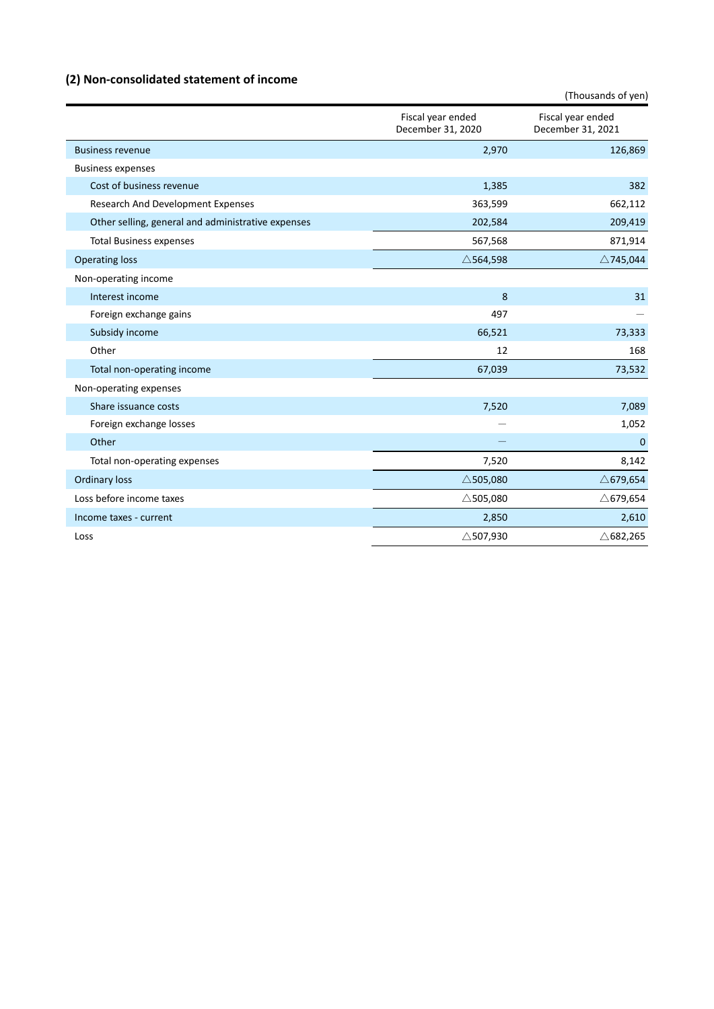# **(2) Non‐consolidated statement of income**

|                                                    |                                        | (Thousands of yen)                     |
|----------------------------------------------------|----------------------------------------|----------------------------------------|
|                                                    | Fiscal year ended<br>December 31, 2020 | Fiscal year ended<br>December 31, 2021 |
| <b>Business revenue</b>                            | 2,970                                  | 126,869                                |
| <b>Business expenses</b>                           |                                        |                                        |
| Cost of business revenue                           | 1,385                                  | 382                                    |
| Research And Development Expenses                  | 363,599                                | 662,112                                |
| Other selling, general and administrative expenses | 202,584                                | 209,419                                |
| <b>Total Business expenses</b>                     | 567,568                                | 871,914                                |
| <b>Operating loss</b>                              | $\triangle$ 564,598                    | $\triangle$ 745,044                    |
| Non-operating income                               |                                        |                                        |
| Interest income                                    | 8                                      | 31                                     |
| Foreign exchange gains                             | 497                                    |                                        |
| Subsidy income                                     | 66,521                                 | 73,333                                 |
| Other                                              | 12                                     | 168                                    |
| Total non-operating income                         | 67,039                                 | 73,532                                 |
| Non-operating expenses                             |                                        |                                        |
| Share issuance costs                               | 7,520                                  | 7,089                                  |
| Foreign exchange losses                            |                                        | 1,052                                  |
| Other                                              |                                        | $\mathbf 0$                            |
| Total non-operating expenses                       | 7,520                                  | 8,142                                  |
| <b>Ordinary loss</b>                               | $\triangle$ 505,080                    | $\triangle$ 679,654                    |
| Loss before income taxes                           | $\triangle$ 505,080                    | $\triangle$ 679,654                    |
| Income taxes - current                             | 2,850                                  | 2,610                                  |
| Loss                                               | $\triangle$ 507,930                    | $\triangle$ 682,265                    |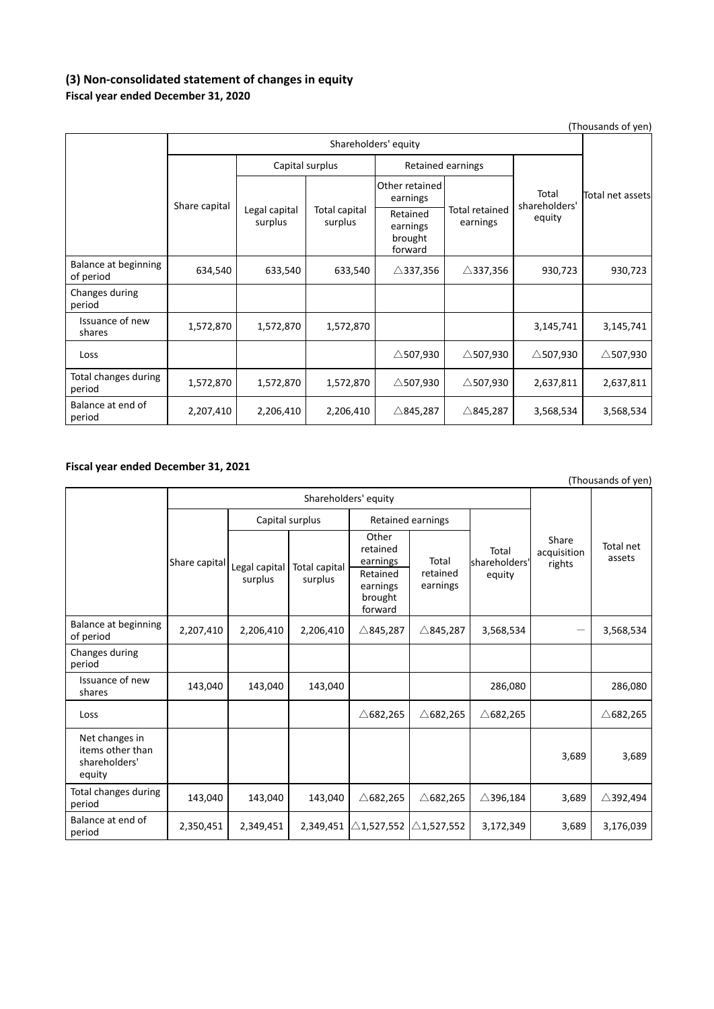### **(3) Non‐consolidated statement of changes in equity Fiscal year ended December 31, 2020**

| (Thousands of yen)                |                      |                          |                          |                                            |                            |                                  |                     |
|-----------------------------------|----------------------|--------------------------|--------------------------|--------------------------------------------|----------------------------|----------------------------------|---------------------|
|                                   | Shareholders' equity |                          |                          |                                            |                            |                                  |                     |
|                                   | Share capital        | Capital surplus          |                          |                                            | Retained earnings          |                                  |                     |
|                                   |                      | Legal capital<br>surplus | Total capital<br>surplus | Other retained<br>earnings                 |                            | Total<br>shareholders'<br>equity | Total net assets    |
|                                   |                      |                          |                          | Retained<br>earnings<br>brought<br>forward | Total retained<br>earnings |                                  |                     |
| Balance at beginning<br>of period | 634,540              | 633,540                  | 633,540                  | $\triangle$ 337,356                        | $\triangle$ 337,356        | 930,723                          | 930,723             |
| Changes during<br>period          |                      |                          |                          |                                            |                            |                                  |                     |
| Issuance of new<br>shares         | 1,572,870            | 1,572,870                | 1,572,870                |                                            |                            | 3,145,741                        | 3,145,741           |
| Loss                              |                      |                          |                          | $\triangle$ 507,930                        | $\triangle$ 507,930        | $\triangle$ 507,930              | $\triangle$ 507,930 |
| Total changes during<br>period    | 1,572,870            | 1,572,870                | 1,572,870                | $\triangle$ 507,930                        | $\triangle$ 507,930        | 2,637,811                        | 2,637,811           |
| Balance at end of<br>period       | 2,207,410            | 2,206,410                | 2,206,410                | $\triangle$ 845,287                        | $\triangle$ 845,287        | 3,568,534                        | 3,568,534           |

### **Fiscal year ended December 31, 2021**

| $\left( \frac{1}{2} \right)$                                  |                 |                          |                          |                                                                             |                               |                                  |                                |                     |
|---------------------------------------------------------------|-----------------|--------------------------|--------------------------|-----------------------------------------------------------------------------|-------------------------------|----------------------------------|--------------------------------|---------------------|
|                                                               |                 | Shareholders' equity     |                          |                                                                             |                               |                                  |                                |                     |
|                                                               | Capital surplus |                          |                          |                                                                             | <b>Retained earnings</b>      |                                  |                                |                     |
|                                                               | Share capital   | Legal capital<br>surplus | Total capital<br>surplus | Other<br>retained<br>earnings<br>Retained<br>earnings<br>brought<br>forward | Total<br>retained<br>earnings | Total<br>shareholders'<br>equity | Share<br>acquisition<br>rights | Total net<br>assets |
| Balance at beginning<br>of period                             | 2,207,410       | 2,206,410                | 2,206,410                | $\triangle$ 845,287                                                         | $\triangle$ 845,287           | 3,568,534                        | —                              | 3,568,534           |
| Changes during<br>period                                      |                 |                          |                          |                                                                             |                               |                                  |                                |                     |
| Issuance of new<br>shares                                     | 143,040         | 143,040                  | 143,040                  |                                                                             |                               | 286,080                          |                                | 286,080             |
| Loss                                                          |                 |                          |                          | $\triangle$ 682,265                                                         | $\triangle$ 682,265           | $\triangle$ 682,265              |                                | $\triangle$ 682,265 |
| Net changes in<br>items other than<br>shareholders'<br>equity |                 |                          |                          |                                                                             |                               |                                  | 3,689                          | 3,689               |
| Total changes during<br>period                                | 143,040         | 143,040                  | 143,040                  | $\triangle$ 682,265                                                         | $\triangle$ 682,265           | $\triangle$ 396,184              | 3,689                          | $\triangle$ 392,494 |
| Balance at end of<br>period                                   | 2,350,451       | 2,349,451                | 2,349,451                | $\triangle$ 1,527,552                                                       | $\triangle$ 1,527,552         | 3,172,349                        | 3,689                          | 3,176,039           |

(Thousands of yen)